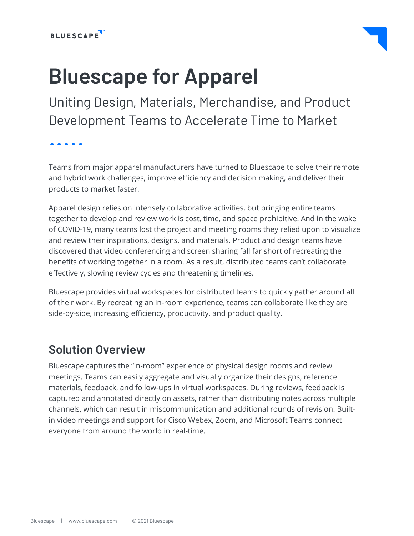

# **Bluescape for Apparel**

Uniting Design, Materials, Merchandise, and Product Development Teams to Accelerate Time to Market

. . . . .

Teams from major apparel manufacturers have turned to Bluescape to solve their remote and hybrid work challenges, improve efficiency and decision making, and deliver their products to market faster.

Apparel design relies on intensely collaborative activities, but bringing entire teams together to develop and review work is cost, time, and space prohibitive. And in the wake of COVID-19, many teams lost the project and meeting rooms they relied upon to visualize and review their inspirations, designs, and materials. Product and design teams have discovered that video conferencing and screen sharing fall far short of recreating the benefits of working together in a room. As a result, distributed teams can't collaborate effectively, slowing review cycles and threatening timelines.

Bluescape provides virtual workspaces for distributed teams to quickly gather around all of their work. By recreating an in-room experience, teams can collaborate like they are side-by-side, increasing efficiency, productivity, and product quality.

### **Solution Overview**

Bluescape captures the "in-room" experience of physical design rooms and review meetings. Teams can easily aggregate and visually organize their designs, reference materials, feedback, and follow-ups in virtual workspaces. During reviews, feedback is captured and annotated directly on assets, rather than distributing notes across multiple channels, which can result in miscommunication and additional rounds of revision. Builtin video meetings and support for Cisco Webex, Zoom, and Microsoft Teams connect everyone from around the world in real-time.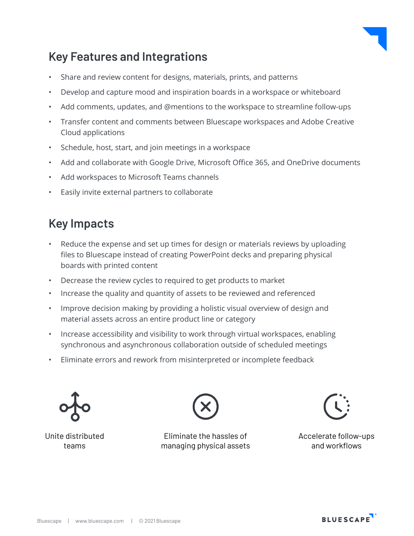

### **Key Features and Integrations**

- Share and review content for designs, materials, prints, and patterns
- Develop and capture mood and inspiration boards in a workspace or whiteboard
- Add comments, updates, and @mentions to the workspace to streamline follow-ups
- Transfer content and comments between Bluescape workspaces and Adobe Creative Cloud applications
- Schedule, host, start, and join meetings in a workspace
- Add and collaborate with Google Drive, Microsoft Office 365, and OneDrive documents
- Add workspaces to Microsoft Teams channels
- Easily invite external partners to collaborate

# **Key Impacts**

- Reduce the expense and set up times for design or materials reviews by uploading files to Bluescape instead of creating PowerPoint decks and preparing physical boards with printed content
- Decrease the review cycles to required to get products to market
- Increase the quality and quantity of assets to be reviewed and referenced
- Improve decision making by providing a holistic visual overview of design and material assets across an entire product line or category
- Increase accessibility and visibility to work through virtual workspaces, enabling synchronous and asynchronous collaboration outside of scheduled meetings
- Eliminate errors and rework from misinterpreted or incomplete feedback







Eliminate the hassles of managing physical assets



Accelerate follow-ups and workflows

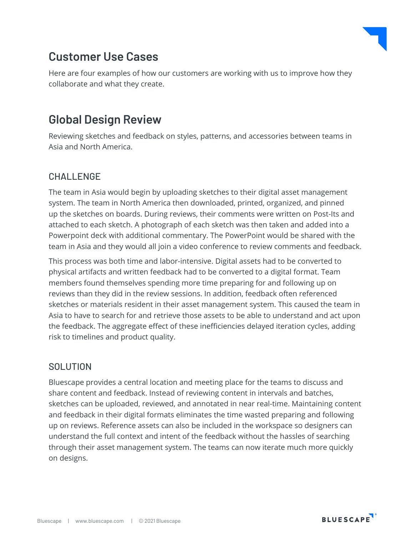

### **Customer Use Cases**

Here are four examples of how our customers are working with us to improve how they collaborate and what they create.

### **Global Design Review**

Reviewing sketches and feedback on styles, patterns, and accessories between teams in Asia and North America.

#### CHALLENGE

The team in Asia would begin by uploading sketches to their digital asset management system. The team in North America then downloaded, printed, organized, and pinned up the sketches on boards. During reviews, their comments were written on Post-Its and attached to each sketch. A photograph of each sketch was then taken and added into a Powerpoint deck with additional commentary. The PowerPoint would be shared with the team in Asia and they would all join a video conference to review comments and feedback.

This process was both time and labor-intensive. Digital assets had to be converted to physical artifacts and written feedback had to be converted to a digital format. Team members found themselves spending more time preparing for and following up on reviews than they did in the review sessions. In addition, feedback often referenced sketches or materials resident in their asset management system. This caused the team in Asia to have to search for and retrieve those assets to be able to understand and act upon the feedback. The aggregate effect of these inefficiencies delayed iteration cycles, adding risk to timelines and product quality.

#### **SOLUTION**

Bluescape provides a central location and meeting place for the teams to discuss and share content and feedback. Instead of reviewing content in intervals and batches, sketches can be uploaded, reviewed, and annotated in near real-time. Maintaining content and feedback in their digital formats eliminates the time wasted preparing and following up on reviews. Reference assets can also be included in the workspace so designers can understand the full context and intent of the feedback without the hassles of searching through their asset management system. The teams can now iterate much more quickly on designs.

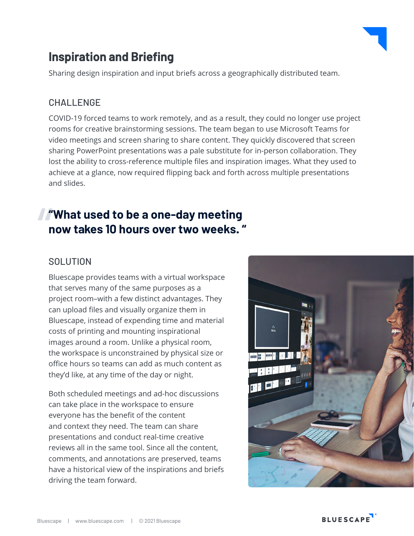

# **Inspiration and Briefing**

Sharing design inspiration and input briefs across a geographically distributed team.

#### CHALLENGE

COVID-19 forced teams to work remotely, and as a result, they could no longer use project rooms for creative brainstorming sessions. The team began to use Microsoft Teams for video meetings and screen sharing to share content. They quickly discovered that screen sharing PowerPoint presentations was a pale substitute for in-person collaboration. They lost the ability to cross-reference multiple files and inspiration images. What they used to achieve at a glance, now required flipping back and forth across multiple presentations and slides.

# **"What used to be a one-day meeting now takes 10 hours over two weeks. "**

#### **SOLUTION**

Bluescape provides teams with a virtual workspace that serves many of the same purposes as a project room–with a few distinct advantages. They can upload files and visually organize them in Bluescape, instead of expending time and material costs of printing and mounting inspirational images around a room. Unlike a physical room, the workspace is unconstrained by physical size or office hours so teams can add as much content as they'd like, at any time of the day or night.

Both scheduled meetings and ad-hoc discussions can take place in the workspace to ensure everyone has the benefit of the content and context they need. The team can share presentations and conduct real-time creative reviews all in the same tool. Since all the content, comments, and annotations are preserved, teams have a historical view of the inspirations and briefs driving the team forward.

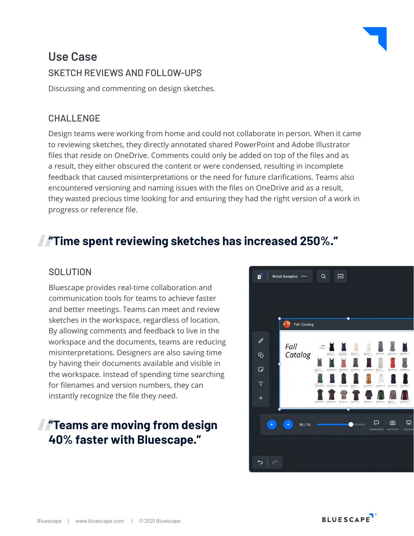### **Use Case** SKETCH REVIEWS AND FOLLOW-UPS

Discussing and commenting on design sketches.

#### CHALLENGE

Design teams were working from home and could not collaborate in person. When it came to reviewing sketches, they directly annotated shared PowerPoint and Adobe Illustrator files that reside on OneDrive. Comments could only be added on top of the files and as a result, they either obscured the content or were condensed, resulting in incomplete feedback that caused misinterpretations or the need for future clarifications. Teams also encountered versioning and naming issues with the files on OneDrive and as a result, they wasted precious time looking for and ensuring they had the right version of a work in progress or reference file.

# **"Time spent reviewing sketches has increased 250%."**

#### **SOLUTION**

Bluescape provides real-time collaboration and communication tools for teams to achieve faster and better meetings. Teams can meet and review sketches in the workspace, regardless of location. By allowing comments and feedback to live in the workspace and the documents, teams are reducing misinterpretations. Designers are also saving time by having their documents available and visible in the workspace. Instead of spending time searching for filenames and version numbers, they can instantly recognize the file they need.

### **"Teams are moving from design 40% faster with Bluescape."**

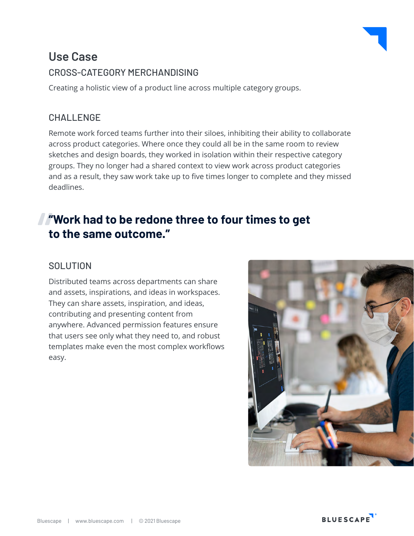### **Use Case** CROSS-CATEGORY MERCHANDISING

Creating a holistic view of a product line across multiple category groups.

#### **CHALLENGE**

Remote work forced teams further into their siloes, inhibiting their ability to collaborate across product categories. Where once they could all be in the same room to review sketches and design boards, they worked in isolation within their respective category groups. They no longer had a shared context to view work across product categories and as a result, they saw work take up to five times longer to complete and they missed deadlines.

# **"Work had to be redone three to four times to get to the same outcome."**

#### **SOLUTION**

Distributed teams across departments can share and assets, inspirations, and ideas in workspaces. They can share assets, inspiration, and ideas, contributing and presenting content from anywhere. Advanced permission features ensure that users see only what they need to, and robust templates make even the most complex workflows easy.